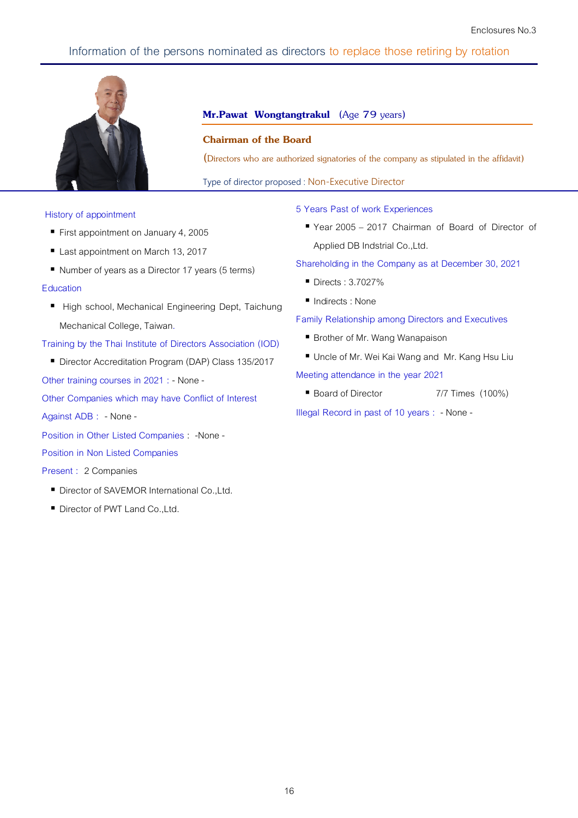

#### **History of appointment**

- First appointment on January 4, 2005
- Last appointment on March 13, 2017
- Number of years as a Director 17 years (5 terms)
- **Education** 
	- High school, Mechanical Engineering Dept, Taichung Mechanical College, Taiwan**.**

#### **Training by the Thai Institute of Directors Association (IOD)**

■ Director Accreditation Program (DAP) Class 135/2017

**Other training courses in 2021 :** - None -

**Other Companies which may have Conflict of Interest**

**Against ADB :** - None -

Position in Other Listed Companies : - None -

**Position in Non Listed Companies** 

#### **Present :** 2 Companies

- Director of SAVEMOR International Co., Ltd.
- Director of PWT Land Co., Ltd.

# **Mr.Pawat Wongtangtrakul** (Age 79 years)

#### **Chairman of the Board**

(Directors who are authorized signatories of the company as stipulated in the affidavit)

Type of director proposed : Non-Executive Director

#### **5 Years Past of work Experiences**

 **Year 2005 – 2017** Chairman of Board of Director of Applied DB Indstrial Co.,Ltd.

### **Shareholding in the Company as at December 30, 2021**

- **Directs** : 3.7027%
- **Indirects** : None

#### **Family Relationship among Directors and Executives**

- Brother of Mr. Wang Wanapaison
- Uncle of Mr. Wei Kai Wang and Mr. Kang Hsu Liu

**Meeting attendance in the year 2021**

■ Board of Director 7/7 Times (100%)

**Illegal Record in past of 10 years :**  - None -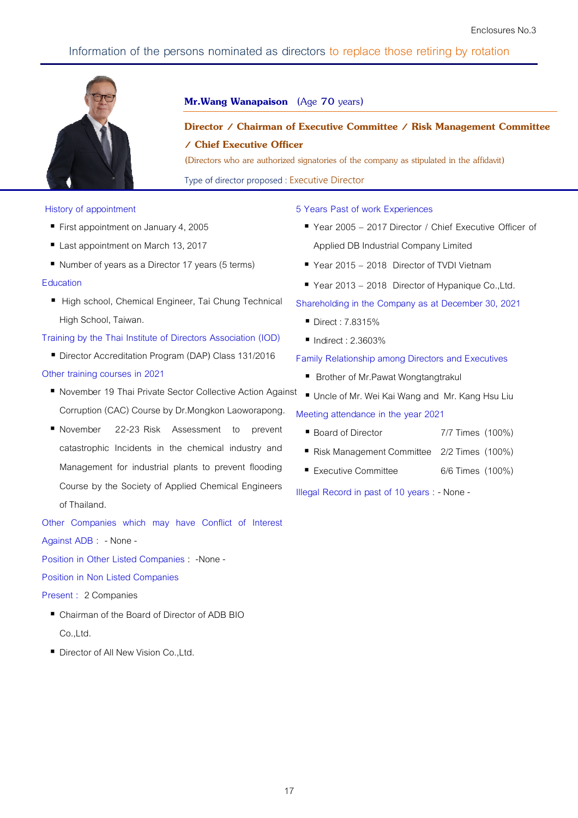**Mr.Wang Wanapaison** (Age 70 years)

Type of director proposed : Executive Director

**/ Chief Executive Officer**



#### **History of appointment**

- First appointment on January 4, 2005
- Last appointment on March 13, 2017
- Number of years as a Director 17 years (5 terms)

#### **Education**

High school, Chemical Engineer, Tai Chung Technical High School, Taiwan.

#### **Training by the Thai Institute of Directors Association (IOD)**

■ Director Accreditation Program (DAP) Class 131/2016

#### **Other training courses in 2021**

- **November 19** Thai Private Sector Collective Action Against Corruption (CAC) Course by Dr.Mongkon Laoworapong.
- **November 22-23** Risk Assessment to prevent catastrophic Incidents in the chemical industry and Management for industrial plants to prevent flooding Course by the Society of Applied Chemical Engineers of Thailand.

**Other Companies which may have Conflict of Interest Against ADB :** - None -

Position in Other Listed Companies : - None -

#### **Position in Non Listed Companies**

**Present :** 2 Companies

- Chairman of the Board of Director of ADB BIO Co.,Ltd.
- Director of All New Vision Co., Ltd.

#### **5 Years Past of work Experiences**

(Directors who are authorized signatories of the company as stipulated in the affidavit)

**Director Director / Chairman of Executive Committee / Risk Management Committee** 

- **Year 2005 2017** Director / Chief Executive Officer of Applied DB Industrial Company Limited
- Year 2015 2018 Director of TVDI Vietnam
- Year 2013 2018 Director of Hypanique Co.,Ltd.

### **Shareholding in the Company as at December 30, 2021**

- **Direct** : 7.8315%
- **Indirect** : 2.3603%

#### **Family Relationship among Directors and Executives**

- Brother of Mr.Pawat Wongtangtrakul
- Uncle of Mr. Wei Kai Wang and Mr. Kang Hsu Liu

### **Meeting attendance in the year 2021**

- Board of Director 7/7 Times (100%)
- Risk Management Committee Committee 2/2 Times (100%)
- **Executive Committee** 6/6 Times (100%)

Illegal Record in past of 10 years : - None -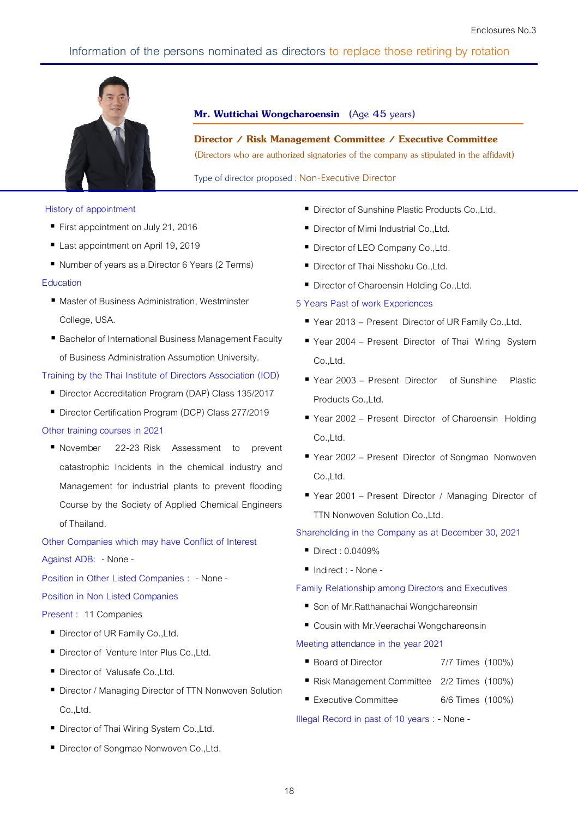

# **Mr. Wuttichai Wongcharoensin** (Age 45 years)

**Director / Risk Management Committee / Executive Committee** (Directors who are authorized signatories of the company as stipulated in the affidavit) Directors

Type of director proposed : Non-Executive Director

#### **History of appointment**

- First appointment on July 21, 2016
- Last appointment on April 19, 2019
- Number of years as a Director 6 Years (2 Terms)

#### **Education**

- Master of Business Administration, Westminster College, USA.
- Bachelor of International Business Management Faculty of Business Administration Assumption University.

#### **Training by the Thai Institute of Directors Association (IOD)**

- Director Accreditation Program (DAP) Class 135/2017
- Director Certification Program (DCP) Class 277/2019

#### **Other training courses in 2021**

■ November 22-23 Risk Assessment to prevent catastrophic Incidents in the chemical industry and Management for industrial plants to prevent flooding Course by the Society of Applied Chemical Engineers of Thailand.

#### **Other Companies which may have Conflict of Interest**

#### **Against ADB:** - None -

**Position in Other Listed Companies :** - None -

#### **Position in Non Listed Companies**

#### **Present :** 11 Companies

- Director of UR Family Co., Ltd.
- Director of Venture Inter Plus Co., Ltd.
- Director of Valusafe Co., Ltd.
- Director / Managing Director of TTN Nonwoven Solution Co.,Ltd.
- Director of Thai Wiring System Co., Ltd.
- Director of Songmao Nonwoven Co., Ltd.
- Director of Sunshine Plastic Products Co., Ltd.
- Director of Mimi Industrial Co., Ltd.
- Director of LEO Company Co.,Ltd.
- Director of Thai Nisshoku Co., Ltd.
- Director of Charoensin Holding Co., Ltd.

#### **5 Years Past of work Experiences**

- Year 2013 Present Director of UR Family Co.,Ltd.
- **Year 2004 Present Director of Thai Wiring System** Co.,Ltd.
- Year 2003 Present Director of Sunshine Plastic Products Co.,Ltd.
- **Year 2002 Present Director of Charoensin Holding** Co.,Ltd.
- Year 2002 Present Director of Songmao Nonwoven Co.,Ltd.
- **Year 2001 Present** Director / Managing Director of TTN Nonwoven Solution Co.,Ltd.

### **Shareholding in the Company as at December 30, 2021**

- **Direct** : 0.0409%
- **Indirect** : None -

#### **Family Relationship among Directors and Executives**

- Son of Mr.Ratthanachai Wongchareonsin
- Cousin with Mr. Veerachai Wongchareonsin

**Meeting attendance in the year 2021**

- Board of Director 7/7 Times (100%)
- Risk Management Committee Committee 2/2 Times (100%)
- **Executive Committee** 6/6 Times (100%)

Illegal Record in past of 10 years : - None -